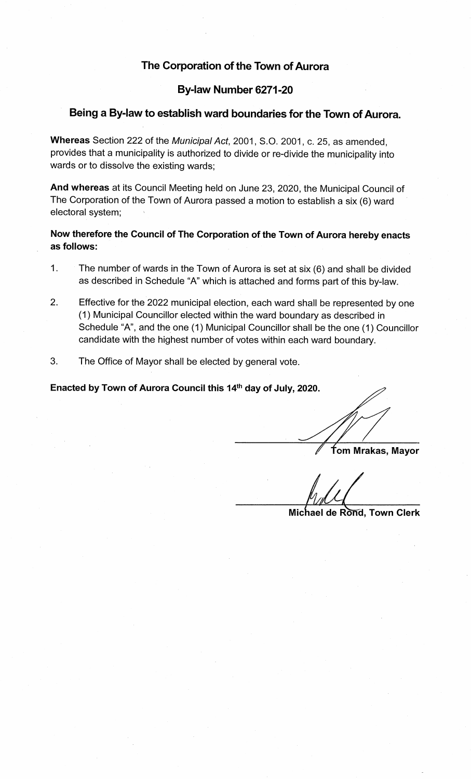# The Corporation of the Town of Aurora

### By-law Number 6271-20

#### Being a By-law to establish ward boundaries for the Town of Aurora.

Whereas Section 222 of the Municipal Act, 2001, S.O. 2001, c. 25, as amended, provides that a municipality is authorized to divide or re-divide the municipality into wards or to dissolve the existing wards;

And whereas at its Council Meeting held on June 23, 2020, the Municipal Council of The Corporation of the Town of Aurora passed a motion to establish a six (6) ward electoral system;

Now therefore the Council of The Corporation of the Town of Aurora hereby enacts as follows:

- 1. The number of wards in the Town of Aurora is set at six (6) and shall be divided as described in Schedule "A" which is attached and forms part of this by-law.
- 2. Effective for the 2022 municipal election, each ward shall be represented by one (1 ) Municipal Councillor elected within the ward boundary as described in Schedule "A", and the one (1) Municipal Councillor shall be the one (1) Councillor candidate with the highest number of votes within each ward boundary.
- 3. The Office of Mayor shall be elected by general vote.

Enacted by Town of Aurora Council this 14<sup>th</sup> day of July, 2020.

fom Mrakas, Mayor

Michael de Rond, Town Clerk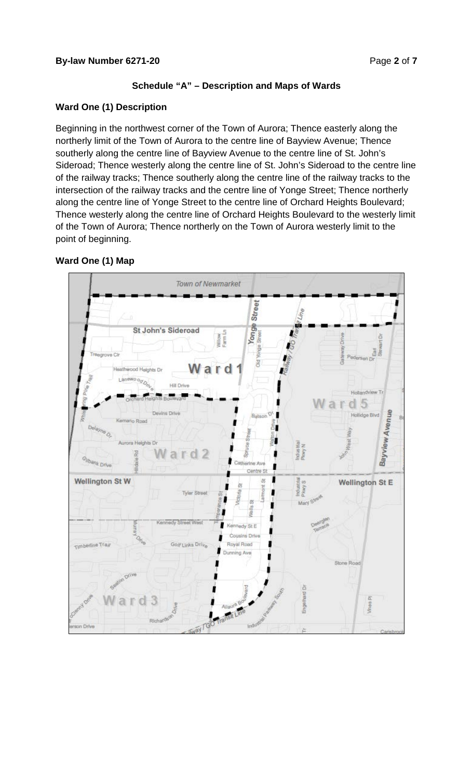# **Schedule "A" – Description and Maps of Wards**

## **Ward One (1) Description**

Beginning in the northwest corner of the Town of Aurora; Thence easterly along the northerly limit of the Town of Aurora to the centre line of Bayview Avenue; Thence southerly along the centre line of Bayview Avenue to the centre line of St. John's Sideroad; Thence westerly along the centre line of St. John's Sideroad to the centre line of the railway tracks; Thence southerly along the centre line of the railway tracks to the intersection of the railway tracks and the centre line of Yonge Street; Thence northerly along the centre line of Yonge Street to the centre line of Orchard Heights Boulevard; Thence westerly along the centre line of Orchard Heights Boulevard to the westerly limit of the Town of Aurora; Thence northerly on the Town of Aurora westerly limit to the point of beginning.

# **Ward One (1) Map**

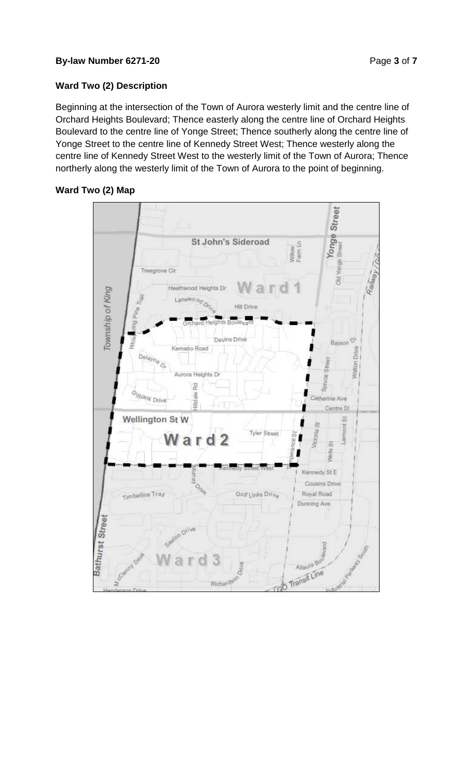#### **By-law Number 6271-20 Page 3 of 7**

## **Ward Two (2) Description**

Beginning at the intersection of the Town of Aurora westerly limit and the centre line of Orchard Heights Boulevard; Thence easterly along the centre line of Orchard Heights Boulevard to the centre line of Yonge Street; Thence southerly along the centre line of Yonge Street to the centre line of Kennedy Street West; Thence westerly along the centre line of Kennedy Street West to the westerly limit of the Town of Aurora; Thence northerly along the westerly limit of the Town of Aurora to the point of beginning.



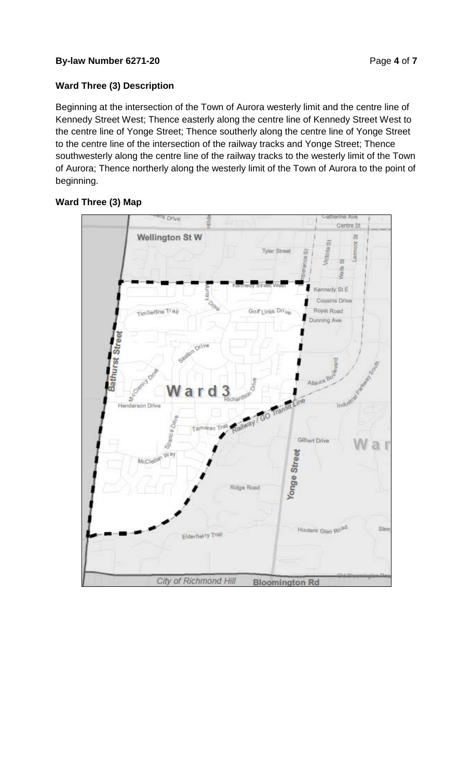#### **By-law Number 6271-20 Page 4 of 7**

# **Ward Three (3) Description**

Beginning at the intersection of the Town of Aurora westerly limit and the centre line of Kennedy Street West; Thence easterly along the centre line of Kennedy Street West to the centre line of Yonge Street; Thence southerly along the centre line of Yonge Street to the centre line of the intersection of the railway tracks and Yonge Street; Thence southwesterly along the centre line of the railway tracks to the westerly limit of the Town of Aurora; Thence northerly along the westerly limit of the Town of Aurora to the point of beginning.

## **Ward Three (3) Map**

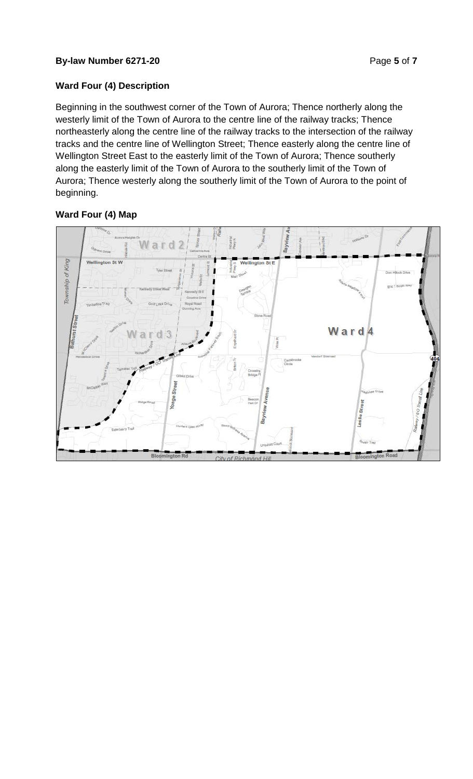#### **By-law Number 6271-20 Page 5** of **7**

## **Ward Four (4) Description**

Beginning in the southwest corner of the Town of Aurora; Thence northerly along the westerly limit of the Town of Aurora to the centre line of the railway tracks; Thence northeasterly along the centre line of the railway tracks to the intersection of the railway tracks and the centre line of Wellington Street; Thence easterly along the centre line of Wellington Street East to the easterly limit of the Town of Aurora; Thence southerly along the easterly limit of the Town of Aurora to the southerly limit of the Town of Aurora; Thence westerly along the southerly limit of the Town of Aurora to the point of beginning.

# **Ward Four (4) Map**

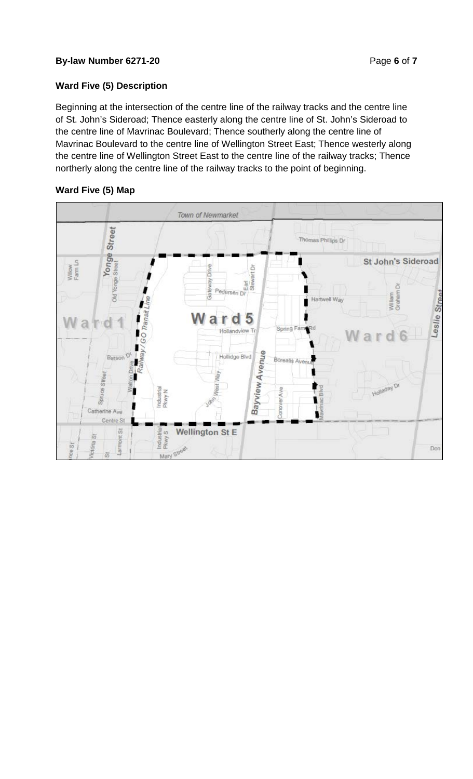### **By-law Number 6271-20 Page 6** of **7**

# **Ward Five (5) Description**

Beginning at the intersection of the centre line of the railway tracks and the centre line of St. John's Sideroad; Thence easterly along the centre line of St. John's Sideroad to the centre line of Mavrinac Boulevard; Thence southerly along the centre line of Mavrinac Boulevard to the centre line of Wellington Street East; Thence westerly along the centre line of Wellington Street East to the centre line of the railway tracks; Thence northerly along the centre line of the railway tracks to the point of beginning.

# **Ward Five (5) Map**